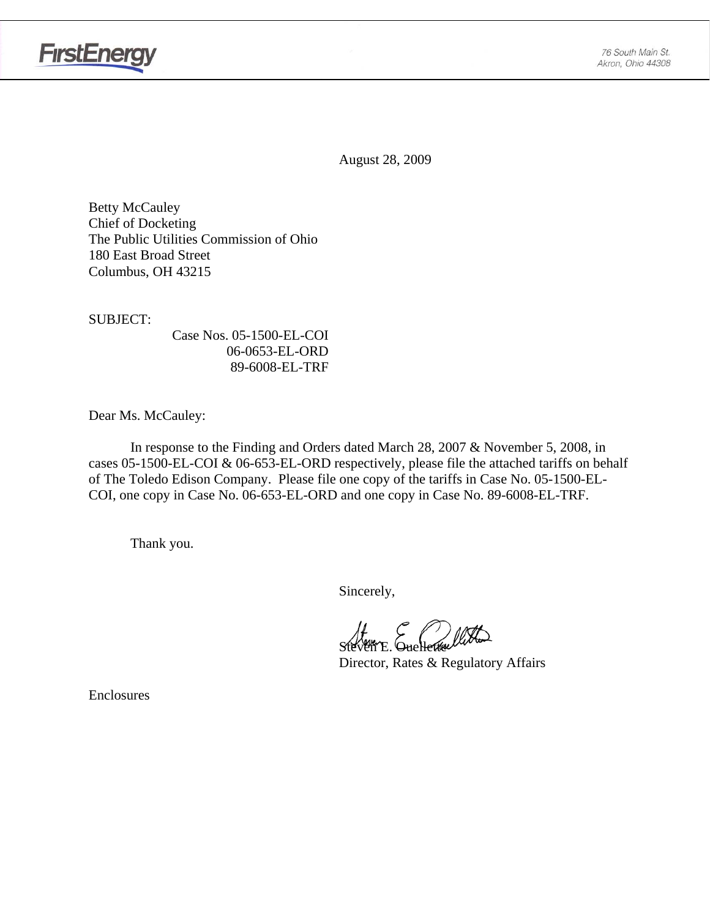

August 28, 2009

Betty McCauley Chief of Docketing The Public Utilities Commission of Ohio 180 East Broad Street Columbus, OH 43215

SUBJECT:

 Case Nos. 05-1500-EL-COI 06-0653-EL-ORD 89-6008-EL-TRF

Dear Ms. McCauley:

 In response to the Finding and Orders dated March 28, 2007 & November 5, 2008, in cases 05-1500-EL-COI & 06-653-EL-ORD respectively, please file the attached tariffs on behalf of The Toledo Edison Company. Please file one copy of the tariffs in Case No. 05-1500-EL-COI, one copy in Case No. 06-653-EL-ORD and one copy in Case No. 89-6008-EL-TRF.

Thank you.

Sincerely,

Steven E. Ouellette

Director, Rates & Regulatory Affairs

Enclosures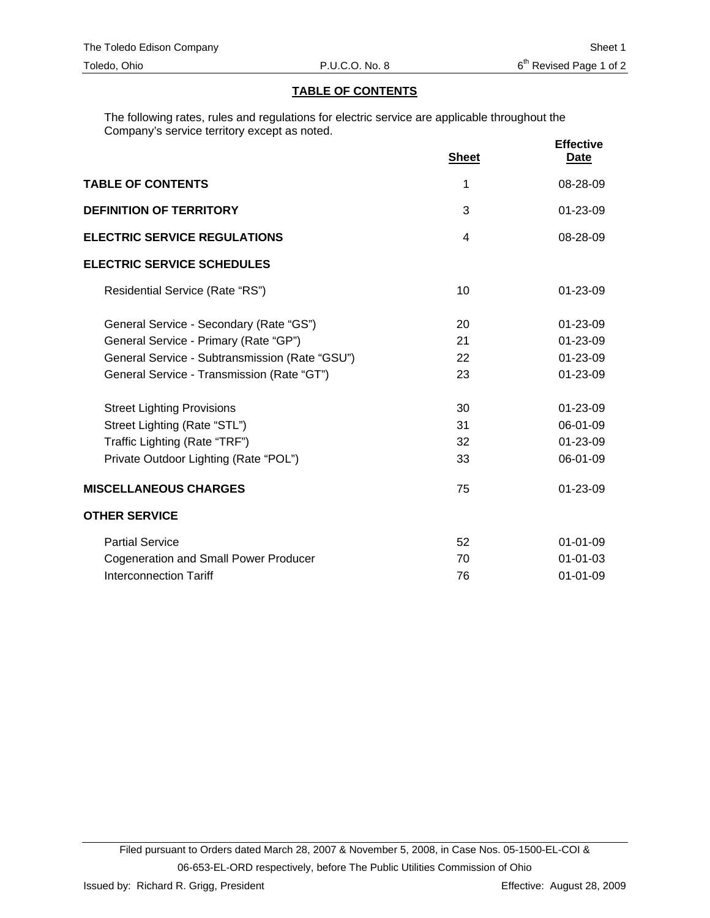### **TABLE OF CONTENTS**

The following rates, rules and regulations for electric service are applicable throughout the Company's service territory except as noted.

|                                                |                | <b>Effective</b> |
|------------------------------------------------|----------------|------------------|
|                                                | <b>Sheet</b>   | <u>Date</u>      |
| <b>TABLE OF CONTENTS</b>                       | 1              | 08-28-09         |
| <b>DEFINITION OF TERRITORY</b>                 | 3              | 01-23-09         |
| <b>ELECTRIC SERVICE REGULATIONS</b>            | $\overline{4}$ | 08-28-09         |
| <b>ELECTRIC SERVICE SCHEDULES</b>              |                |                  |
| Residential Service (Rate "RS")                | 10             | $01 - 23 - 09$   |
| General Service - Secondary (Rate "GS")        | 20             | 01-23-09         |
| General Service - Primary (Rate "GP")          | 21             | $01 - 23 - 09$   |
| General Service - Subtransmission (Rate "GSU") | 22             | 01-23-09         |
| General Service - Transmission (Rate "GT")     | 23             | 01-23-09         |
| <b>Street Lighting Provisions</b>              | 30             | $01 - 23 - 09$   |
| Street Lighting (Rate "STL")                   | 31             | 06-01-09         |
| Traffic Lighting (Rate "TRF")                  | 32             | 01-23-09         |
| Private Outdoor Lighting (Rate "POL")          | 33             | 06-01-09         |
| <b>MISCELLANEOUS CHARGES</b>                   | 75             | 01-23-09         |
| <b>OTHER SERVICE</b>                           |                |                  |
| <b>Partial Service</b>                         | 52             | $01 - 01 - 09$   |
| <b>Cogeneration and Small Power Producer</b>   | 70             | $01 - 01 - 03$   |
| Interconnection Tariff                         | 76             | $01 - 01 - 09$   |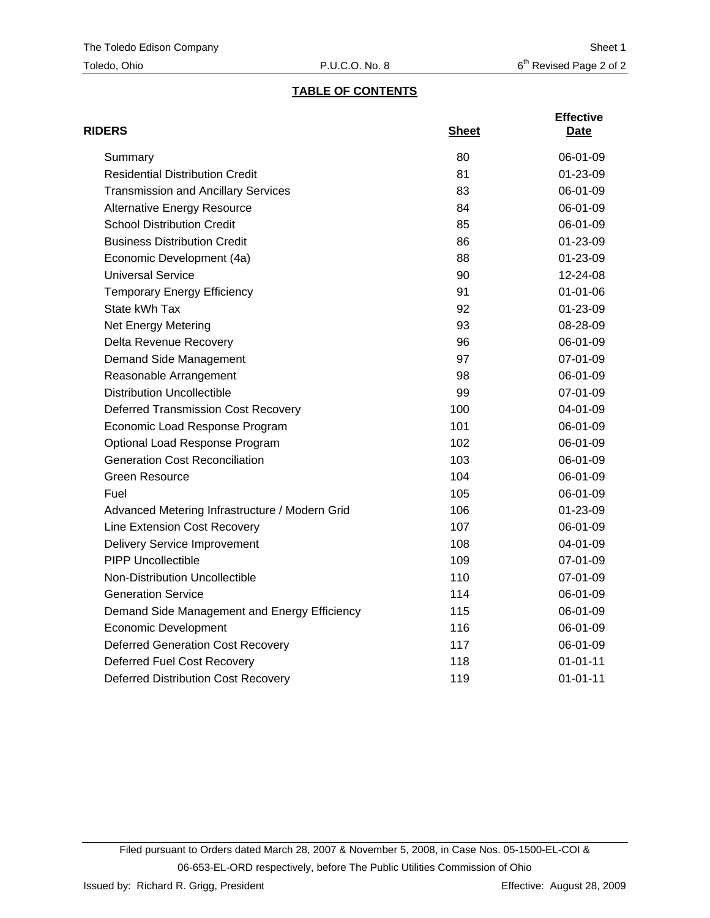# **TABLE OF CONTENTS**

| <b>RIDERS</b>                                  | <b>Sheet</b> | <b>Effective</b><br>Date |
|------------------------------------------------|--------------|--------------------------|
| Summary                                        | 80           | 06-01-09                 |
| <b>Residential Distribution Credit</b>         | 81           | 01-23-09                 |
| <b>Transmission and Ancillary Services</b>     | 83           | 06-01-09                 |
| <b>Alternative Energy Resource</b>             | 84           | 06-01-09                 |
| <b>School Distribution Credit</b>              | 85           | 06-01-09                 |
| <b>Business Distribution Credit</b>            | 86           | $01 - 23 - 09$           |
| Economic Development (4a)                      | 88           | 01-23-09                 |
| <b>Universal Service</b>                       | 90           | 12-24-08                 |
| <b>Temporary Energy Efficiency</b>             | 91           | $01 - 01 - 06$           |
| State kWh Tax                                  | 92           | 01-23-09                 |
| Net Energy Metering                            | 93           | 08-28-09                 |
| Delta Revenue Recovery                         | 96           | 06-01-09                 |
| Demand Side Management                         | 97           | 07-01-09                 |
| Reasonable Arrangement                         | 98           | 06-01-09                 |
| <b>Distribution Uncollectible</b>              | 99           | 07-01-09                 |
| <b>Deferred Transmission Cost Recovery</b>     | 100          | 04-01-09                 |
| Economic Load Response Program                 | 101          | 06-01-09                 |
| Optional Load Response Program                 | 102          | 06-01-09                 |
| <b>Generation Cost Reconciliation</b>          | 103          | 06-01-09                 |
| <b>Green Resource</b>                          | 104          | 06-01-09                 |
| Fuel                                           | 105          | 06-01-09                 |
| Advanced Metering Infrastructure / Modern Grid | 106          | 01-23-09                 |
| Line Extension Cost Recovery                   | 107          | 06-01-09                 |
| <b>Delivery Service Improvement</b>            | 108          | 04-01-09                 |
| <b>PIPP Uncollectible</b>                      | 109          | 07-01-09                 |
| <b>Non-Distribution Uncollectible</b>          | 110          | 07-01-09                 |
| <b>Generation Service</b>                      | 114          | 06-01-09                 |
| Demand Side Management and Energy Efficiency   | 115          | 06-01-09                 |
| <b>Economic Development</b>                    | 116          | 06-01-09                 |
| <b>Deferred Generation Cost Recovery</b>       | 117          | 06-01-09                 |
| Deferred Fuel Cost Recovery                    | 118          | $01 - 01 - 11$           |
| <b>Deferred Distribution Cost Recovery</b>     | 119          | $01 - 01 - 11$           |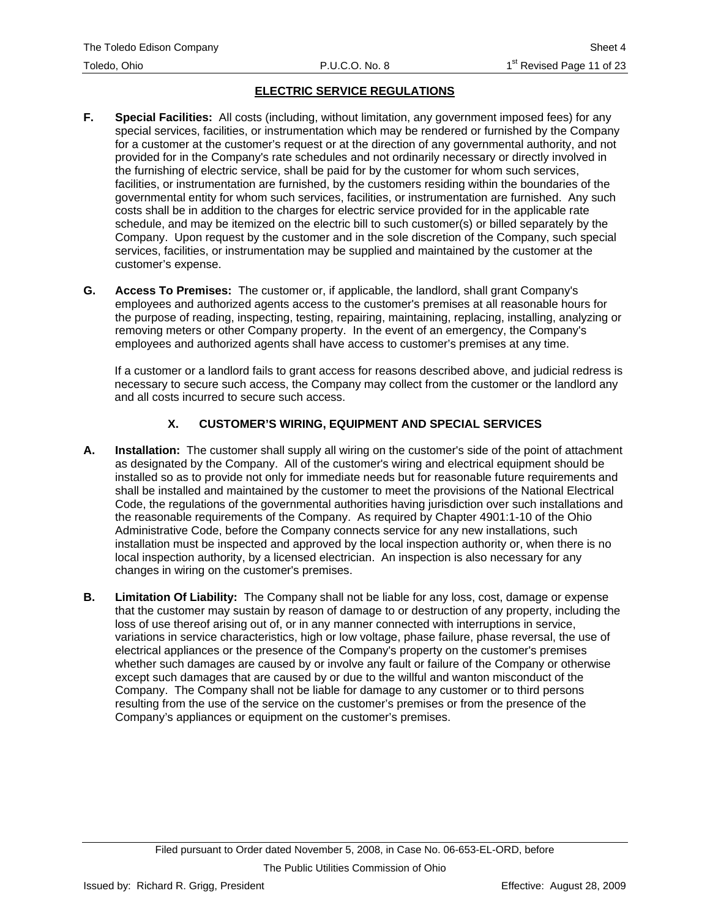# **ELECTRIC SERVICE REGULATIONS**

- **F. Special Facilities:** All costs (including, without limitation, any government imposed fees) for any special services, facilities, or instrumentation which may be rendered or furnished by the Company for a customer at the customer's request or at the direction of any governmental authority, and not provided for in the Company's rate schedules and not ordinarily necessary or directly involved in the furnishing of electric service, shall be paid for by the customer for whom such services, facilities, or instrumentation are furnished, by the customers residing within the boundaries of the governmental entity for whom such services, facilities, or instrumentation are furnished. Any such costs shall be in addition to the charges for electric service provided for in the applicable rate schedule, and may be itemized on the electric bill to such customer(s) or billed separately by the Company. Upon request by the customer and in the sole discretion of the Company, such special services, facilities, or instrumentation may be supplied and maintained by the customer at the customer's expense.
- **G. Access To Premises:** The customer or, if applicable, the landlord, shall grant Company's employees and authorized agents access to the customer's premises at all reasonable hours for the purpose of reading, inspecting, testing, repairing, maintaining, replacing, installing, analyzing or removing meters or other Company property. In the event of an emergency, the Company's employees and authorized agents shall have access to customer's premises at any time.

If a customer or a landlord fails to grant access for reasons described above, and judicial redress is necessary to secure such access, the Company may collect from the customer or the landlord any and all costs incurred to secure such access.

## **X. CUSTOMER'S WIRING, EQUIPMENT AND SPECIAL SERVICES**

- **A. Installation:** The customer shall supply all wiring on the customer's side of the point of attachment as designated by the Company. All of the customer's wiring and electrical equipment should be installed so as to provide not only for immediate needs but for reasonable future requirements and shall be installed and maintained by the customer to meet the provisions of the National Electrical Code, the regulations of the governmental authorities having jurisdiction over such installations and the reasonable requirements of the Company. As required by Chapter 4901:1-10 of the Ohio Administrative Code, before the Company connects service for any new installations, such installation must be inspected and approved by the local inspection authority or, when there is no local inspection authority, by a licensed electrician. An inspection is also necessary for any changes in wiring on the customer's premises.
- **B. Limitation Of Liability:** The Company shall not be liable for any loss, cost, damage or expense that the customer may sustain by reason of damage to or destruction of any property, including the loss of use thereof arising out of, or in any manner connected with interruptions in service, variations in service characteristics, high or low voltage, phase failure, phase reversal, the use of electrical appliances or the presence of the Company's property on the customer's premises whether such damages are caused by or involve any fault or failure of the Company or otherwise except such damages that are caused by or due to the willful and wanton misconduct of the Company. The Company shall not be liable for damage to any customer or to third persons resulting from the use of the service on the customer's premises or from the presence of the Company's appliances or equipment on the customer's premises.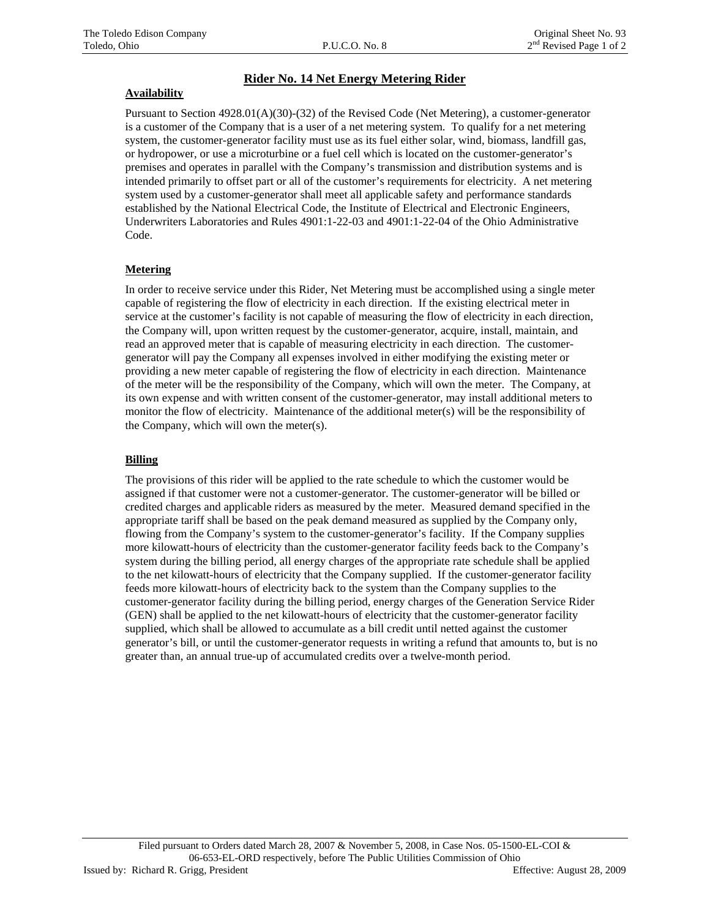## **Rider No. 14 Net Energy Metering Rider**

#### **Availability**

Pursuant to Section 4928.01(A)(30)-(32) of the Revised Code (Net Metering), a customer-generator is a customer of the Company that is a user of a net metering system. To qualify for a net metering system, the customer-generator facility must use as its fuel either solar, wind, biomass, landfill gas, or hydropower, or use a microturbine or a fuel cell which is located on the customer-generator's premises and operates in parallel with the Company's transmission and distribution systems and is intended primarily to offset part or all of the customer's requirements for electricity. A net metering system used by a customer-generator shall meet all applicable safety and performance standards established by the National Electrical Code, the Institute of Electrical and Electronic Engineers, Underwriters Laboratories and Rules 4901:1-22-03 and 4901:1-22-04 of the Ohio Administrative Code.

#### **Metering**

In order to receive service under this Rider, Net Metering must be accomplished using a single meter capable of registering the flow of electricity in each direction. If the existing electrical meter in service at the customer's facility is not capable of measuring the flow of electricity in each direction, the Company will, upon written request by the customer-generator, acquire, install, maintain, and read an approved meter that is capable of measuring electricity in each direction. The customergenerator will pay the Company all expenses involved in either modifying the existing meter or providing a new meter capable of registering the flow of electricity in each direction. Maintenance of the meter will be the responsibility of the Company, which will own the meter. The Company, at its own expense and with written consent of the customer-generator, may install additional meters to monitor the flow of electricity. Maintenance of the additional meter(s) will be the responsibility of the Company, which will own the meter(s).

## **Billing**

The provisions of this rider will be applied to the rate schedule to which the customer would be assigned if that customer were not a customer-generator. The customer-generator will be billed or credited charges and applicable riders as measured by the meter. Measured demand specified in the appropriate tariff shall be based on the peak demand measured as supplied by the Company only, flowing from the Company's system to the customer-generator's facility. If the Company supplies more kilowatt-hours of electricity than the customer-generator facility feeds back to the Company's system during the billing period, all energy charges of the appropriate rate schedule shall be applied to the net kilowatt-hours of electricity that the Company supplied. If the customer-generator facility feeds more kilowatt-hours of electricity back to the system than the Company supplies to the customer-generator facility during the billing period, energy charges of the Generation Service Rider (GEN) shall be applied to the net kilowatt-hours of electricity that the customer-generator facility supplied, which shall be allowed to accumulate as a bill credit until netted against the customer generator's bill, or until the customer-generator requests in writing a refund that amounts to, but is no greater than, an annual true-up of accumulated credits over a twelve-month period.